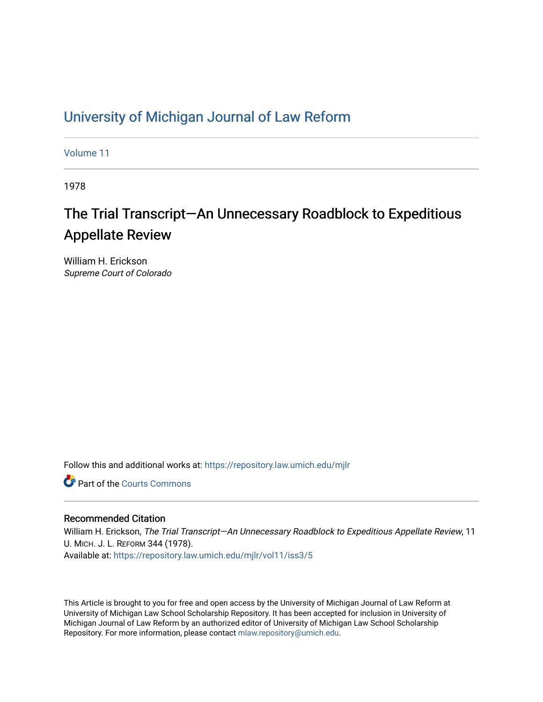## [University of Michigan Journal of Law Reform](https://repository.law.umich.edu/mjlr)

[Volume 11](https://repository.law.umich.edu/mjlr/vol11)

1978

# The Trial Transcript—An Unnecessary Roadblock to Expeditious Appellate Review

William H. Erickson Supreme Court of Colorado

Follow this and additional works at: [https://repository.law.umich.edu/mjlr](https://repository.law.umich.edu/mjlr?utm_source=repository.law.umich.edu%2Fmjlr%2Fvol11%2Fiss3%2F5&utm_medium=PDF&utm_campaign=PDFCoverPages) 

**C** Part of the Courts Commons

### Recommended Citation

William H. Erickson, The Trial Transcript—An Unnecessary Roadblock to Expeditious Appellate Review, 11 U. MICH. J. L. REFORM 344 (1978). Available at: [https://repository.law.umich.edu/mjlr/vol11/iss3/5](https://repository.law.umich.edu/mjlr/vol11/iss3/5?utm_source=repository.law.umich.edu%2Fmjlr%2Fvol11%2Fiss3%2F5&utm_medium=PDF&utm_campaign=PDFCoverPages) 

This Article is brought to you for free and open access by the University of Michigan Journal of Law Reform at University of Michigan Law School Scholarship Repository. It has been accepted for inclusion in University of Michigan Journal of Law Reform by an authorized editor of University of Michigan Law School Scholarship Repository. For more information, please contact [mlaw.repository@umich.edu](mailto:mlaw.repository@umich.edu).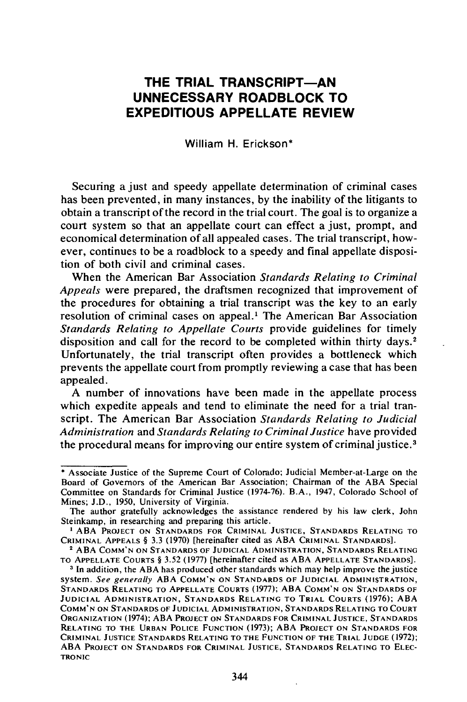## **THE TRIAL TRANSCRIPT-AN UNNECESSARY ROADBLOCK TO EXPEDITIOUS APPELLATE REVIEW**

William H. Erickson\*

Securing a just and speedy appellate determination of criminal cases has been prevented, in many instances, by the inability of the litigants to obtain a transcript of the record in the trial court. The goal is to organize a court system so that an appellate court can effect a just, prompt, and economical determination of all appealed cases. The trial transcript, however, continues to be a roadblock to a speedy and final appellate disposition of both civil and criminal cases.

When the American Bar Association *Standards Relating to Criminal Appeals* were prepared, the draftsmen recognized that improvement of the procedures for obtaining a trial transcript was the key to an early resolution of criminal cases on appeal.<sup>1</sup> The American Bar Association *Standards Relating to Appellate Courts* provide guidelines for timely disposition and call for the record to be completed within thirty days.<sup>2</sup> Unfortunately, the trial transcript often provides a bottleneck which prevents the appellate court from promptly reviewing a case that has been appealed.

A number of innovations have been made in the appellate process which expedite appeals and tend to eliminate the need for a trial transcript. The American Bar Association *Standards Relating to Judicial Administration* and *Standards Relating to Criminal Justice* have provided the procedural means for improving our entire system of criminal justice. 3

<sup>•</sup> Associate Justice of the Supreme Court of Colorado; Judicial Member-at-Large on the Board of Governors of the American Bar Association; Chairman of the ABA Special Committee on Standards for Criminal Justice (1974-76). B.A., 1947, Colorado School of Mines; J.D., 1950, University of Virginia.

The author gratefully acknowledges the assistance rendered by his law clerk, John Steinkamp, in researching and preparing this article.

<sup>&</sup>lt;sup>1</sup> ABA PROJECT ON STANDARDS FOR CRIMINAL JUSTICE, STANDARDS RELATING TO CRIMINAL APPEALS§ 3.3 (1970) [hereinafter cited as ABA CRIMINAL STANDARDS].

<sup>2</sup>ABA COMM'N ON STANDARDS OF JUDICIAL ADMINISTRATION, STANDARDS RELATING TO APPELLATE COURTS § 3.52 (1977) [hereinafter cited as ABA APPELLATE STANDARDS].

<sup>&</sup>lt;sup>3</sup> In addition, the ABA has produced other standards which may help improve the justice system. *See generally* ABA COMM'N ON STANDARDS OF JUDICIAL ADMINISTRATION, STANDARDS RELATING TO APPELLATE COURTS (1977); ABA COMM'N ON STANDARDS OF JUDICIAL ADMINISTRATION, STANDARDS RELATING TO TRIAL COURTS (1976); ABA COMM'N ON STANDARDS OF JUDICIAL ADMINISTRATION, STANDARDS RELATING TO COURT ORGANIZATION (1974); ABA PROJECT ON STANDARDS FOR CRIMINAL JUSTICE, STANDARDS RELATING TO THE URBAN POLICE FUNCTION (1973); ABA PROJECT ON STANDARDS FOR CRIMINAL JUSTICE STANDARDS RELATING TO THE FUNCTION OF THE TRIAL JUDGE ( 1972); ABA PROJECT ON STANDARDS FOR CRIMINAL JUSTICE, STANDARDS RELATING TO ELEC· **TRONIC**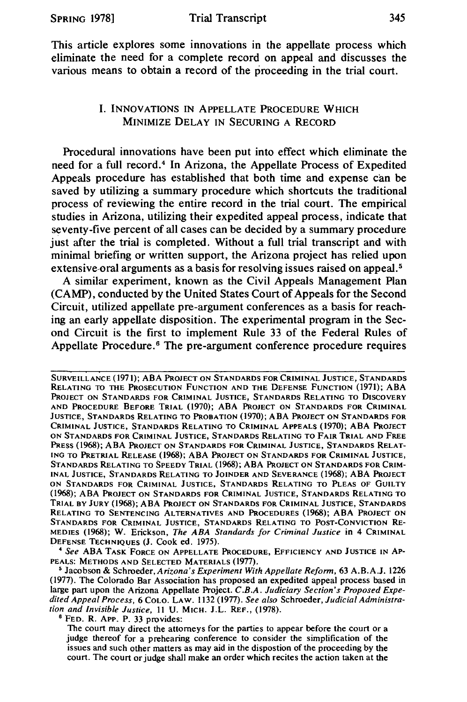This article explores some innovations in the appellate process which eliminate the need for a complete record on appeal and discusses the various means to obtain a record of the proceeding in the trial court.

#### I. INNOVATIONS IN APPELLATE PROCEDURE WHICH MINIMIZE DELAY IN SECURING A RECORD

Procedural innovations have been put into effect which eliminate the need for a full record.<sup>4</sup> In Arizona, the Appellate Process of Expedited Appeals procedure has established that both time and expense can be saved by utilizing a summary procedure which shortcuts the traditional process of reviewing the entire record in the trial court. The empirical studies in Arizona, utilizing their expedited appeal process, indicate that seventy-five percent of all cases can be decided by a summary procedure just after the trial is completed. Without a full trial transcript and with minimal briefing or written support, the Arizona project has relied upon extensive oral arguments as a basis for resolving issues raised on appeal.<sup>5</sup>

A similar experiment, known as the Civil Appeals Management Plan (CAMP), conducted by the United States Court of Appeals for the Second Circuit, utilized appellate pre-argument conferences as a basis for reaching an early appellate disposition. The experimental program in the Second Circuit is the first to implement Rule 33 of the Federal Rules of Appellate Procedure. 6 The pre-argument conference procedure requires

<sup>4</sup> See ABA TASK FORCE ON APPELLATE PROCEDURE, EFFICIENCY AND JUSTICE IN AP-PEALS: METHODS AND SELECTED MATERIALS (1977).

SURVEILLANCE (1971); ABA PROJECT ON STANDARDS FOR CRIMINAL JUSTICE, STANDARDS RELATING TO THE PROSECUTION FUNCTION AND THE DEFENSE FUNCTION (1971); ABA PROJECT ON STANDARDS FOR CRIMINAL JUSTICE, STANDARDS RELATING TO DISCOVERY AND PROCEDURE BEFORE TRIAL (1970); ABA PROJECT ON STANDARDS FOR CRIMINAL JUSTICE, STANDARDS RELATING TO PROBATION (1970); ABA PROJECT ON STANDARDS FOR CRIMINAL JUSTICE, STANDARDS RELATING TO CRIMINAL APPEALS (1970); ABA PROJECT ON STANDARDS FOR CRIMINAL JUSTICE, STANDARDS RELATING TO FAIR TRIAL AND FREE PRESS (1968); ABA PROJECT ON STANDARDS FOR CRIMINAL JUSTICE, STANDARDS RELAT-ING TO PRETRIAL RELEASE (1968); ABA PROJECT ON STANDARDS FOR CRIMINAL JUSTICE, STANDARDS RELATING TO SPEEDY TRIAL (1968); ABA PROJECT ON STANDARDS FOR CRIM-INAL JUSTICE, STANDARDS RELATING TO JOINDER AND SEVERANCE (1968); ABA PROJECT ON STANDARDS FOR CRIMINAL JUSTICE, STANDARDS RELATING TO PLEAS OF GUILTY (1968); ABA PROJECT ON STANDARDS FOR CRIMINAL JUSTICE, STANDARDS RELATING TO TRIAL BY JURY (1968); ABA PROJECT ON STANDARDS FOR CRIMINAL JUSTICE, STANDARDS RELATING TO SENTENCING ALTERNATIVES AND PROCEDURES (1968); ABA PROJECT ON STANDARDS FOR CRIMINAL JUSTICE, STANDARDS RELATING TO POST-CONVICTION RE-MEDIES (1968); W. Erickson, *The ABA Standards for Criminal Justice* in 4 CRIMINAL DEFENSE TECHNIQUES (J. Cook ed. 1975) .

<sup>•</sup> Jacobson & *Schroeder,Arizona's Experiment With Appellate Reform,* 63 A.B.A.J. 1226 (1977). The Colorado Bar Association has proposed an expedited appeal process based in large part upon the Arizona Appellate Project. *C.B.A. Judiciary Section's Proposed Expedited Appeal Process,* 6 COLO. LAW. 1132 (1977). *See also* Schroeder, *Judicial Administration and Invisible Justice,* 11 U. MICH. J.L. REF., (1978). <sup>6</sup> FED. R. APP. P. 33 provides:

The court may direct the attorneys for the parties to appear before the court or a judge thereof for a prehearing conference to consider the simplification of the issues and such other matters as may aid in the dispostion of the proceeding by the court. The court or judge shall make an order which recites the action taken at the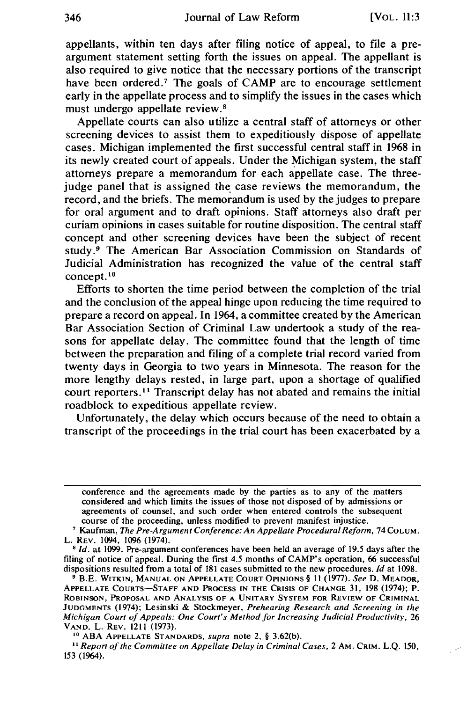appellants, within ten days after filing notice of appeal, to file a preargument statement setting forth the issues on appeal. The appellant is also required to give notice that the necessary portions of the transcript have been ordered.<sup> $7$ </sup> The goals of CAMP are to encourage settlement early in the appellate process and to simplify the issues in the cases which must undergo appellate review.<sup>8</sup>

Appellate courts can also utilize a central staff of attorneys or other screening devices to assist them to expeditiously dispose of appellate cases. Michigan implemented the first successful central staff in 1968 in its newly created court of appeals. Under the Michigan system, the staff attorneys prepare a memorandum for each appellate case. The threejudge panel that is assigned the case reviews the memorandum, the record, and the briefs. The memorandum is used by the judges to prepare for oral argument and to draft opinions. Staff attorneys also draft per curiam opinions in cases suitable for routine disposition. The central staff concept and other screening devices have been the subject of recent study . 9 The American Bar Association Commission on Standards of Judicial Administration has recognized the value of the central staff concept.<sup>10</sup>

Efforts to shorten the time period between the completion of the trial and the conclusion of the appeal hinge upon reducing the time required to prepare a record on appeal. In 1964, a committee created by the American Bar Association Section of Criminal Law undertook a study of the reasons for appellate delay. The committee found that the length of time between the preparation and filing of a complete trial record varied from twenty days in Georgia to two years in Minnesota. The reason for the more lengthy delays rested, in large part, upon a shortage of qualified court reporters. 11 Transcript delay has not abated and remains the initial roadblock to expeditious appellate review.

Unfortunately, the delay which occurs because of the need to obtain a transcript of the proceedings in the trial court has been exacerbated by a

conference and the agreements made by the parties as to any of the matters considered and which limits the issues of those not disposed of by admissions or agreements of counsel, and such order when entered controls the subsequent course of the proceeding, unless modified to prevent manifest injustice.

course of the proceeding, unless modified to prevent manifest injustice. 7 Kaufman, *The Pre-Argument Conference: An Appellate Procedural Reform,* 74 Co LUM. L. REV. 1094, 1096 (1974).<br><sup>8</sup> *Id.* at 1099. Pre-argument conferences have been held an average of 19.5 days after the

filing of notice of appeal. During the first 4.5 months of CAMP's operation, 66 successful dispositions resulted from a total of 181 cases submitted to the new procedures. *Id* at 1098.

<sup>&</sup>lt;sup>9</sup> B.E. WITKIN, MANUAL ON APPELLATE COURT OPINIONS § 11 (1977). *See* D. MEADOR, APPELLATE COURTS-STAFF AND PROCESS IN THE CRISIS OF CHANGE 31, 198 (1974); P. ROBINSON, PROPOSAL AND ANALYSIS OF A UNITARY SYSTEM FOR REVIEW OF CRIMINAL JUDGMENTS (1974); Lesinski & Stockmeyer, *Prehearing Research and Screening in the Michigan Court of Appeals: One Court's Method for Increasing Judicial Productivity, 26* VAND. L. REV. 1211 (1973).

<sup>&</sup>lt;sup>10</sup> ABA APPELLATE STANDARDS, *supra* note 2, § 3.62(b).<br><sup>11</sup> *Report of the Committee on Appellate Delay in Criminal Cases, 2 AM. CRIM. L.Q. 150,* 153 (1964).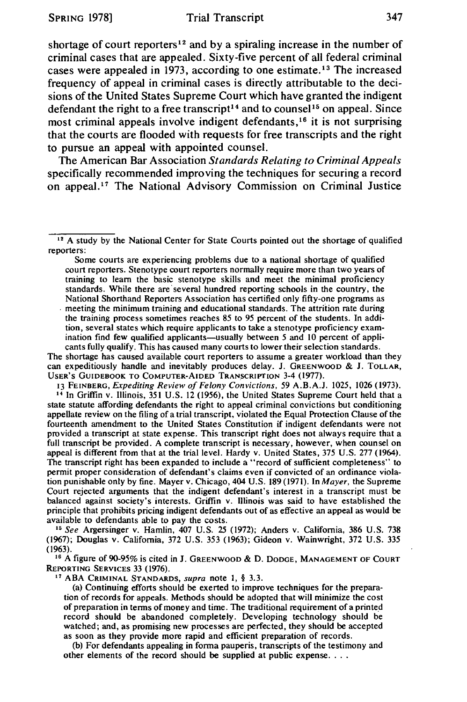shortage of court reporters<sup>12</sup> and by a spiraling increase in the number of criminal cases that are appealed. Sixty-five percent of all federal criminal cases were appealed in 1973, according to one estimate. 13 The increased frequency of appeal in criminal cases is directly attributable to the decisions of the United States Supreme Court which have granted the indigent defendant the right to a free transcript<sup>14</sup> and to counsel<sup>15</sup> on appeal. Since most criminal appeals involve indigent defendants, 16 it is not surprising that the courts are flooded with requests for free transcripts and the right to pursue an appeal with appointed counsel.

The American Bar Association *Standards Relating to Criminal Appeals*  specifically recommended improving the techniques for securing a record on appeal.17 The National Advisory Commission on Criminal Justice

Some courts are experiencing problems due to a national shortage of qualified court reporters. Stenotype court reporters normally require more than two years of training to learn the basic stenotype skills and meet the minimal proficiency standards. While there are several hundred reporting schools in the country, the National Shorthand Reporters Association has certified only fifty-one programs as . meeting the minimum training and educational standards. The attrition rate during the training process sometimes reaches 85 to *95* percent of the students. In addition, several states which require applicants to take a stenotype proficiency examination find few qualified applicants-usually between *5* and JO percent of applicants fully qualify. This has caused many courts to lower their selection standards.

The shortage has caused available court reporters to assume a greater workload than they can expeditiously handle and inevitably produces delay. J. GREENWOOD & J. TOLLAR, USER'S GUIDEBOOK TO COMPUTER-AIDED TRANSCRIPTION 3-4 (1977).<br>13 FEINBERG, *Expediting Review of Felony Convictions*, 59 A.B.A.J. 1025, 1026 (1973).

<sup>14</sup> In Griffin v. Illinois, 351 U.S. 12 (1956), the United States Supreme Court held that a state statute affording defendants the right to appeal criminal convictions but conditioning appellate review on the filing of a trial transcript, violated the Equal Protection Clause of the fourteenth amendment to the United States Constitution if indigent defendants were not provided a transcript at state expense. This transcript right does not always require that a full transcript be provided. A complete transcript is necessary, however, when counsel on appeal is different from that at the trial level. Hardy v. United States, 375 U.S. 277 (1964). The transcript right has been expanded to include a "record of sufficient completeness" to permit proper consideration of defendant's claims even if convicted of an ordinance violation punishable only by fine. Mayer v. Chicago, 404 U.S. 189 (1971). In *Mayer,* the Supreme Court rejected arguments that the indigent defendant's interest in a transcript must be balanced against society's interests. Griffin v. Illinois was said to have established the principle that prohibits pricing indigent defendants out of as effective an appeal as would be

available to defendants able to pay the costs. 15 *See* Argersinger v. Hamlin, 407 U.S. 25 (1972); Anders v. California, 386 U.S. 738 (1967); Douglas v. California, 372 U.S. 353 (1963); Gideon v. Wainwright, 372 U.S. 335

 $16$  A figure of 90-95% is cited in J. GREENWOOD & D. DODGE, MANAGEMENT OF COURT REPORTING SERVICES 33 (1976). 17 ABA CRIMINAL STANDARDS, *supra* note 1, § 3.3.

(a) Continuing efforts should be exerted to improve techniques for the preparation of records for appeals. Methods should be adopted that will minimize the cost of preparation in terms of money and time. The traditional requirement of a printe\_d record should be abandoned completely. Developing technology should be watched; and, as promising new processes are perfected, they should be accepted as soon as they provide more rapid and efficient preparation of records.

(b) For defendants appealing in forma pauperis, transcripts of the testimony and other elements of the record should be supplied at public expense. . . .

 $12$  A study by the National Center for State Courts pointed out the shortage of qualified reporters: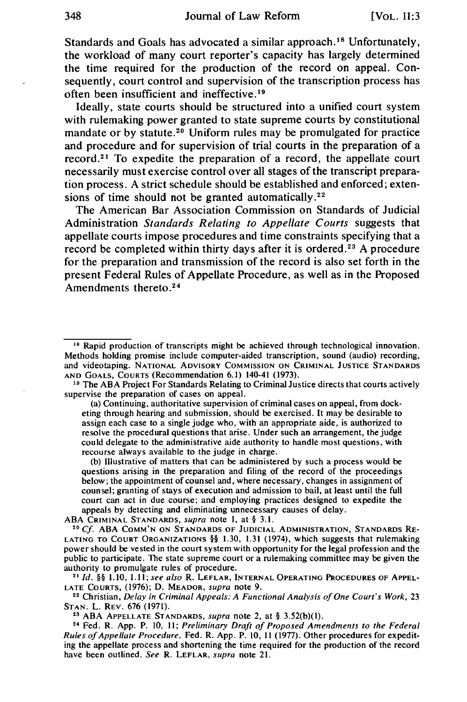Standards and Goals has advocated a similar approach. 18 Unfortunately, the workload of many court reporter's capacity has largely determined the time required for the production of the record on appeal. Consequently, court control and supervision of the transcription process has often been insufficient and ineffective.<sup>19</sup>

Ideally, state courts should be structured into a unified court system with rulemaking power granted to state supreme courts by constitutional mandate or by statute.<sup>20</sup> Uniform rules may be promulgated for practice and procedure and for supervision of trial courts in the preparation of a record. 21 To expedite the preparation of a record, the appellate court necessarily must exercise control over all stages of the transcript preparation process. A strict schedule should be established and enforced; extensions of time should not be granted automatically.<sup>22</sup>

The American Bar Association Commission on Standards of Judicial Administration *Standards Relating to Appellate Courts* suggests that appellate courts impose procedures and time constraints specifying that a record be completed within thirty days after it is ordered.<sup>23</sup> A procedure for the preparation and transmission of the record is also set forth in the present Federal Rules of Appellate Procedure, as well as in the Proposed Amendments thereto. <sup>24</sup>

(a) Continuing, authoritative supervision of criminal cases on appeal, from docketing through hearing and submission, should be exercised. It may be desirable to assign each case to a single judge who, with an appropriate aide, is authorized to resolve the procedural questions that arise. Under such an arrangement, the judge could delegate to the administrative aide authority to handle most questions, with recourse always available to the judge in charge.

(b) Illustrative of matters that can be administered by such a process would be questions arising in the preparation and filing of the record of the proceedings below; the appointment of counsel and, where necessary, changes in assignment of counsel; granting of stays of execution and admission to bail, at least until the full court can act in due course; and employing practices designed to expedite the appeals by detecting and eliminating unnecessary causes of delay.<br>ABA CRIMINAL STANDARDS, supra note 1, at  $\S$  3.1.

<sup>20</sup> Cf. ABA COMM'N ON STANDARDS OF JUDICIAL ADMINISTRATION, STANDARDS RE-LATING TO COURT ORGANIZATIONS §§ 1.30, 1.31 (1974), which suggests that rulemaking power should be vested in the court system with opportunity for the legal profession and the public to participate. The state supreme court or a rulemaking committee may be given the authority to promulgate rules of procedure.

<sup>21</sup> *Id.* §§ 1.10, 1.11; *see also* R. LEFLAR, INTERNAL OPERATING PROCEDURES OF APPEL-<br>LATE COURTS, (1976); D. MEADOR, *supra* note 9.

<sup>22</sup> Christian, *Delay in Criminal Appeals: A Functional Analysis of One Court's Work, 23* STAN. L. REV. 676 (1971).<br><sup>23</sup> ABA APPELLATE STANDARDS, *supra* note 2, at § 3.52(b)(1).<br><sup>24</sup> Fed. R. App. P. 10, 11; *Preliminary Draft of Proposed Amendments to the Federal* 

*Rules of Appellate Procedure,* Fed. R. App. P. 10, 11 (1977). Other procedures for expediting the appellate process and shortening the time required for the production of the record have been outlined. *See* R. LEFLAR, *supra* note 21.

<sup>&</sup>lt;sup>18</sup> Rapid production of transcripts might be achieved through technological innovation. Methods holding promise include computer-aided transcription, sound (audio) recording, and videotaping. NATIONAL ADVISORY COMMISSION ON CRIMINAL JUSTICE STANDARDS AND GOALS, COURTS (Recommendation 6.1) 140-41 (1973). 19 The ABA Project For Standards Relating to Criminal Justice directs that courts actively

supervise the preparation of cases on appeal.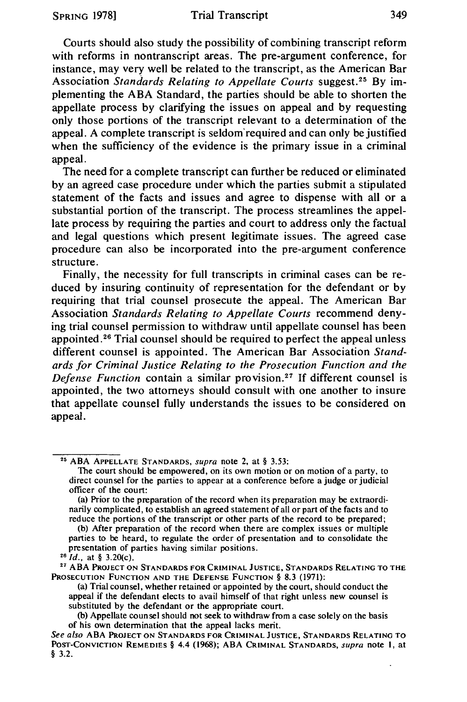Courts should also study the possibility of combining transcript reform with reforms in nontranscript areas. The pre-argument conference, for instance, may very well be related to the transcript, as the American Bar Association *Standards Relating to Appellate Courts* suggest. 25 By implementing the ABA Standard, the parties should be able to shorten the appellate process by clarifying the issues on appeal and by requesting only those portions of the transcript relevant to a determination of the appeal. A complete transcript is seldom'required and can only be justified when the sufficiency of the evidence is the primary issue in a criminal appeal.

The need for a complete transcript can further be reduced or eliminated by an agreed case procedure under which the parties submit a stipulated statement of the facts and issues and agree to dispense with all or a substantial portion of the transcript. The process streamlines the appellate process by requiring the parties and court to address only the factual and legal questions which present legitimate issues. The agreed case procedure can also be incorporated into the pre-argument conference structure.

Finally, the necessity for full transcripts in criminal cases can be reduced by insuring continuity of representation for the defendant or by requiring that trial counsel prosecute the appeal. The American Bar Association *Standards Relating to Appellate Courts* recommend denying trial counsel permission to withdraw until appellate counsel has been appointed. 26 Trial counsel should be required to perfect the appeal unless different counsel is appointed. The American Bar Association *Standards for Criminal Justice Relating to the Prosecution Function and the Defense Function* contain a similar provision.<sup>27</sup> If different counsel is appointed, the two attorneys should consult with one another to insure that appellate counsel fully understands the issues to be considered on appeal.

<sup>27</sup> ABA PROJECT ON STANDARDS FOR CRIMINAL JUSTICE, STANDARDS RELATING TO THE PROSECUTION FUNCTION AND THE DEFENSE FUNCTION§ 8.3 (1971):

<sup>25</sup> ABA APPELLATE STANDARDS, *supra* note 2, at§ 3.53:

The court should be empowered, on its own motion or on motion of a party, to direct counsel for the parties to appear at a conference before a judge or judicial officer of the court:

<sup>(</sup>a) Prior to the preparation of the record when its preparation may be extraordinarily complicated, to establish an agreed statement of all or part of the facts and to reduce the portions of the transcript or other parts of the record to be prepared;

<sup>(</sup>b) After preparation of the record when there are complex issues or multiple parties to be heard, to regulate the order of presentation and to consolidate the presentation of parties having similar positions. 26 *Id.,* at § 3.20(c).

<sup>(</sup>a) Trial counsel, whether retained or appointed by the court, should conduct the appeal if the defendant elects to avail himself of that right unless new counsel is substituted by the defendant or the appropriate court.

<sup>(</sup>b) Appellate counsel should not seek to withdraw from a case solely on the basis of his own determination that the appeal lacks merit.

*See also* ABA PROJECT ON STANDARDS FOR CRIMINAL JUSTICE, STANDARDS RELATING TO POST-CONVICTION REMEDIES§ 4.4 (1968); ABA CRIMINAL STANDARDS, *supra* note I, at § 3.2.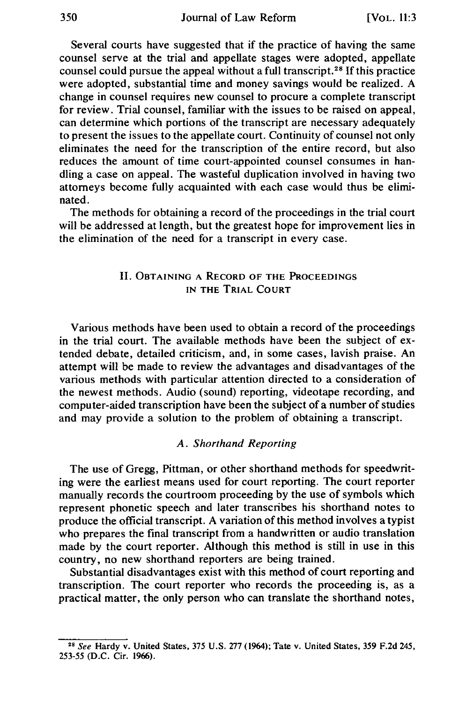Several courts have suggested that if the practice of having the same counsel serve at the trial and appellate stages were adopted, appellate counsel could pursue the appeal without a full transcript. 28 If this practice were adopted, substantial time and money savings would be realized. A change in counsel requires new counsel to procure a complete transcript for review. Trial counsel, familiar with the issues to be raised on appeal, can determine which portions of the transcript are necessary adequately to present the issues to the appellate court. Continuity of counsel not only eliminates the need for the transcription of the entire record, but also reduces the amount of time court-appointed counsel consumes in handling a case on appeal. The wasteful duplication involved in having two attorneys become fully acquainted with each case would thus be eliminated.

The methods for obtaining a record of the proceedings in the trial court will be addressed at length, but the greatest hope for improvement lies in the elimination of the need for a transcript in every case.

#### II. OBTAINING A RECORD OF THE PROCEEDINGS IN THE TRIAL COURT

Various methods have been used to obtain a record of the proceedings in the trial court. The available methods have been the subject of extended debate, detailed criticism, and, in some cases, lavish praise. An attempt will be made to review the advantages and disadvantages of the various methods with particular attention directed to a consideration of the newest methods. Audio (sound) reporting, videotape recording, and computer-aided transcription have been the subject of a number of studies and may provide a solution to the problem of obtaining a transcript.

#### *A. Shorthand Reporting*

The use of Gregg, Pittman, or other shorthand methods for speedwriting were the earliest means used for court reporting. The court reporter manually records the courtroom proceeding by the use of symbols which represent phonetic speech and later transcribes his shorthand notes to produce the official transcript. A variation of this method involves a typist who prepares the final transcript from a handwritten or audio translation made by the court reporter. Although this method is still in use in this country, no new shorthand reporters are being trained.

Substantial disadvantages exist with this method of court reporting and transcription. The court reporter who records the proceeding is, as a practical matter, the only person who can translate the shorthand notes,

<sup>&</sup>lt;sup>28</sup> See Hardy v. United States, 375 U.S. 277 (1964); Tate v. United States, 359 F.2d 245, 253-55 (D.C. Cir. 1966).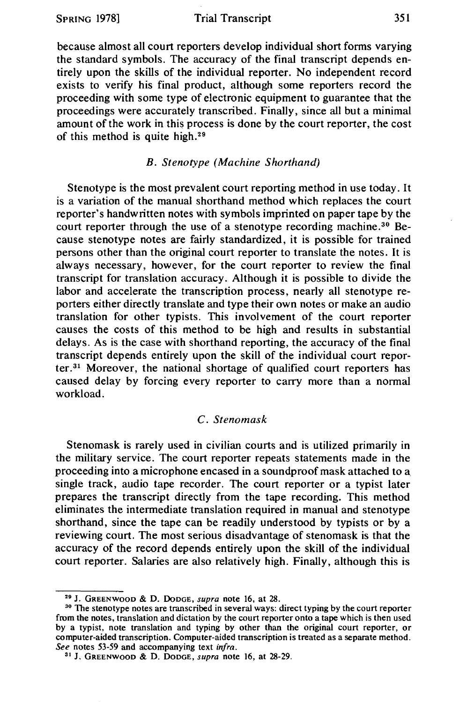because almost all court reporters develop individual short forms varying the standard symbols. The accuracy of the final transcript depends entirely upon the skills of the individual reporter. No independent record exists to verify his final product, although some reporters record the proceeding with some type of electronic equipment to guarantee that the proceedings were accurately transcribed. Finally, since all but a minimal amount of the work in this process is done by the court reporter, the cost of this method is quite high. <sup>29</sup>

#### *B. Stenotype (Machine Shorthand)*

Stenotype is the most prevalent court reporting method in use today. It is a variation of the manual shorthand method which replaces the court reporter's handwritten notes with symbols imprinted on paper tape by the court reporter through the use of a stenotype recording machine.<sup>30</sup> Because stenotype notes are fairly standardized, it is possible for trained persons other than the original court reporter to translate the notes. It is always necessary, however, for the court reporter to review the final transcript for translation accuracy. Although it is possible to divide the labor and accelerate the transcription process, nearly all stenotype reporters either directly translate and type their own notes or make an audio translation for other typists. This involvement of the court reporter causes the costs of this method to be high and results in substantial delays. As is the case with shorthand reporting, the accuracy of the final transcript depends entirely upon the skill of the individual court reporter. $31$  Moreover, the national shortage of qualified court reporters has caused delay by forcing every reporter to carry more than a normal workload.

#### C. *Stenomask*

Stenomask is rarely used in civilian courts and is utilized primarily in the military service. The court reporter repeats statements made in the proceeding into a microphone encased in a soundproof mask attached to a single track, audio tape recorder. The court reporter or a typist later prepares the transcript directly from the tape recording. This method eliminates the intermediate translation required in manual and stenotype shorthand, since the tape can be readily understood by typists or by a reviewing court. The most serious disadvantage of stenomask is that the accuracy of the record depends entirely upon the skill of the individual court reporter. Salaries are also relatively high. Finally, although this is

<sup>&</sup>lt;sup>29</sup> J. GREENWOOD & D. DODGE, *supra* note 16, at 28.<br><sup>30</sup> The stenotype notes are transcribed in several ways: direct typing by the court reporter from the notes, translation and dictation by the court reporter onto a tape which is then used by a typist, note translation and typing by other than the original court reporter, or computer-aided transcription. Computer-aided transcription is treated as a separate method. *See* notes 53-59 and accompanying text *infra.* 

<sup>31</sup> J. GREENWOOD & D. DODGE, *supra* note 16, at 28-29.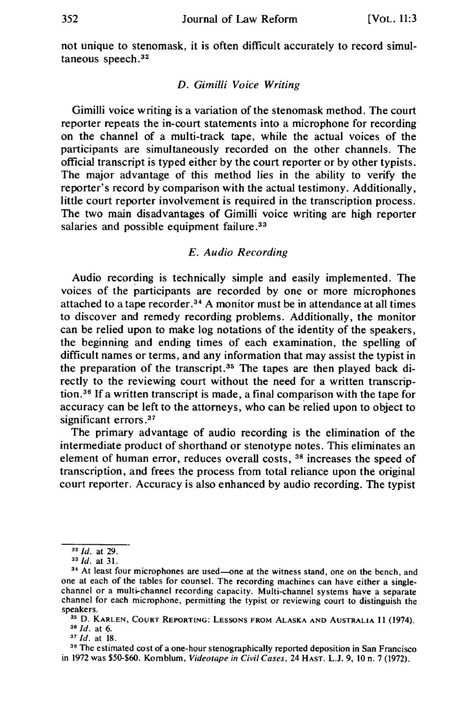not unique to stenomask, it is often difficult accurately to record simultaneous speech. <sup>32</sup>

#### *D. Gimilli Voice Writing*

Gimilli voice writing is a variation of the stenomask method. The court reporter repeats the in-court statements into a microphone for recording on the channel of a multi-track tape, while the actual voices of the participants are simultaneously recorded on the other channels. The official transcript is typed either by the court reporter or by other typists. The major advantage of this method lies in the ability to verify the reporter's record by comparison with the actual testimony. Additionally, little court reporter involvement is required in the transcription process. The two main disadvantages of Gimilli voice writing are high reporter salaries and possible equipment failure.<sup>33</sup>

#### *E. Audio Recording*

Audio recording is technically simple and easily implemented. The voices of the participants are recorded by one or more microphones attached to a tape recorder. <sup>34</sup>A monitor must be in attendance at all times to discover and remedy recording problems. Additionally, the monitor can be relied upon to make log notations of the identity of the speakers, the beginning and ending times of each examination, the spelling of difficult names or terms, and any information that may assist the typist in the preparation of the transcript. 35 The tapes are then played back directly to the reviewing court without the need for a written transcription. 36 If a written transcript is made, a final comparison with the tape for accuracy can be left to the attorneys, who can be relied upon to object to significant errors.<sup>37</sup>

The primary advantage of audio recording is the elimination of the intermediate product of shorthand or stenotype notes. This eliminates an element of human error, reduces overall costs, 38 increases the speed of transcription, and frees the process from total reliance upon the original court reporter. Accuracy is also enhanced by audio recording. The typist

<sup>32</sup> *Id.* at 29.

<sup>&</sup>lt;sup>34</sup> At least four microphones are used-one at the witness stand, one on the bench, and one at each of the tables for counsel. The recording machines can have either a singlechannel or a multi-channel recording capacity. Multi-channel systems have a separate channel for each microphone, permitting the typist or reviewing court to distinguish the

<sup>&</sup>lt;sup>35</sup> D. KARLEN, COURT REPORTING: LESSONS FROM ALASKA AND AUSTRALIA 11 (1974).<br><sup>36</sup> *Id.* at 6. 37 *Id.* at 18. 38 The estimated cost of a one-hour stenographically reported deposition in San Francisco

in 1972 was \$50-\$60. Kornblum, *Videotape in Civil Cases,* 24 HAST. L.J. 9, IO n. 7 (1972).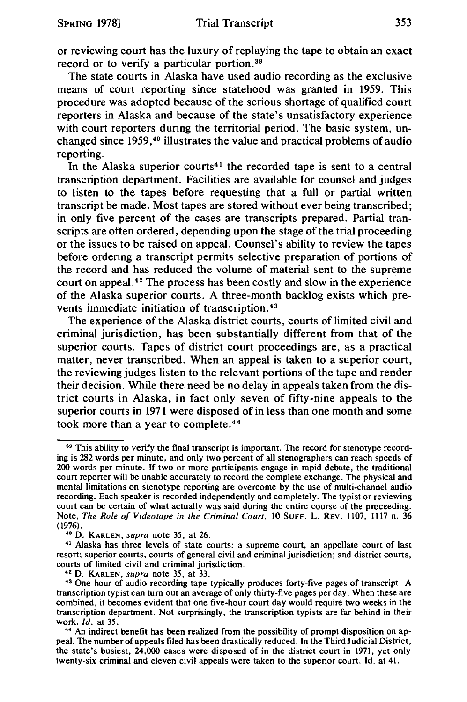or reviewing court has the luxury of replaying the tape to obtain an exact record or to verify a particular portion.<sup>39</sup>

The state courts in Alaska have used audio recording as the exclusive means of court reporting since statehood was granted in 1959. This procedure was adopted because of the serious shortage of qualified court reporters in Alaska and because of the state's unsatisfactory experience with court reporters during the territorial period. The basic system, unchanged since 1959, 40 illustrates the value and practical problems of audio reporting.

In the Alaska superior courts<sup>41</sup> the recorded tape is sent to a central transcription department. Facilities are available for counsel and judges to listen to the tapes before requesting that a full or partial written transcript be made. Most tapes are stored without ever being transcribed; in only five percent of the cases are transcripts prepared. Partial transcripts are often ordered, depending upon the stage of the trial proceeding or the issues to be raised on appeal. Counsel's ability to review the tapes before ordering a transcript permits selective preparation of portions of the record and has reduced the volume of material sent to the supreme court on appeal. $4<sup>2</sup>$  The process has been costly and slow in the experience of the Alaska superior courts. A three-month backlog exists which prevents immediate initiation of transcription. <sup>43</sup>

The experience of the Alaska district courts, courts of limited civil and criminal jurisdiction, has been substantially different from that of the superior courts. Tapes of district court proceedings are, as a practical matter, never transcribed. When an appeal is taken to a superior court, the reviewing judges listen to the relevant portions of the tape and render their decision. While there need be no delay in appeals taken from the district courts in Alaska, in fact only seven of fifty-nine appeals to the superior courts in 1971 were disposed of in less than one month and some took more than a year to complete. <sup>44</sup>

<sup>&</sup>lt;sup>39</sup> This ability to verify the final transcript is important. The record for stenotype recording is 282 words per minute, and only two percent of all stenographers can reach speeds of 200 words per minute. If two or more participants engage in rapid debate, the traditional court reporter will be unable accurately to record the complete exchange. The physical and mental limitations on stenotype reporting are overcome by the use of multi-channel audio recording. Each speaker is recorded independently and completely. The typist or reviewing court can be certain of what actually was said during the entire course of the proceeding. Note, *The Role of Videotape in the Criminal Court*, 10 SUFF. L. REV. 1107, 1117 n. 36 (1976).

<sup>&</sup>lt;sup>40</sup> D. KARLEN, *supra* note 35, at 26. 41 Alaska has three levels of state courts: a supreme court, an appellate court of last resort; superior courts, courts of general civil and criminal jurisdiction; and district courts, courts of limited civil and criminal jurisdiction.

<sup>&</sup>lt;sup>42</sup> D. KARLEN, *supra* note 35, at 33.<br><sup>43</sup> One hour of audio recording tape typically produces forty-five pages of transcript. A transcription typist can tum out an average of only thirty-five pages per day. When these are combined, it becomes evident that one five-hour court day would require two weeks in the transcription department. Not surprisingly, the transcription typists are far behind in their work.  $Id$ , at  $35$ .

<sup>&</sup>lt;sup>44</sup> An indirect benefit has been realized from the possibility of prompt disposition on appeal. The number of appeals filed has been drastically reduced. In the Third Judicial District, the state's busiest, 24,000 cases were disposed of in the district court in 1971, yet only twenty-six criminal and eleven civil appeals were taken to the superior court. Id. at 41.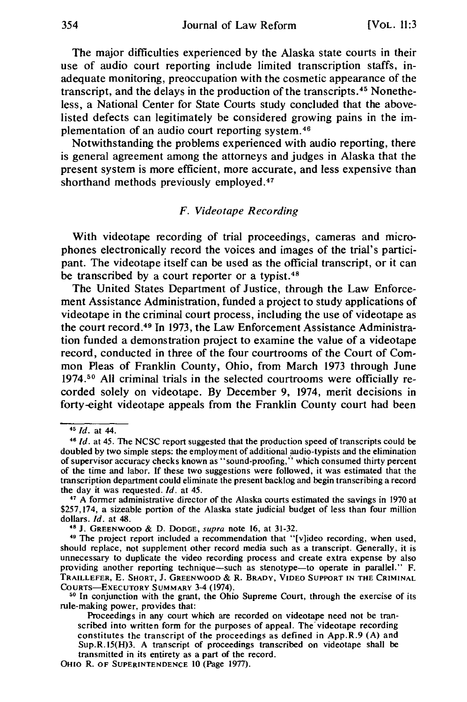The major difficulties experienced by the Alaska state courts in their use of audio court reporting include limited transcription staffs, inadequate monitoring, preoccupation with the cosmetic appearance of the transcript, and the delays in the production of the transcripts. 45 Nonetheless, a National Center for State Courts study concluded that the abovelisted defects can legitimately be considered growing pains in the implementation of an audio court reporting system. 46

Notwithstanding the problems experienced with audio reporting, there is general agreement among the attorneys and judges in Alaska that the present system is more efficient, more accurate, and less expensive than shorthand methods previously employed.47

#### *F. Videotape Recording*

With videotape recording of trial proceedings, cameras and microphones electronically record the voices and images of the trial's participant. The videotape itself can be used as the official transcript, or it can be transcribed by a court reporter or a typist.<sup>48</sup>

The United States Department of Justice, through the Law Enforcement Assistance Administration, funded a project to study applications of videotape in the criminal court process, including the use of videotape as the court record. 49 In 1973, the Law Enforcement Assistance Administration funded a demonstration project to examine the value of a videotape record, conducted in three of the four courtrooms of the Court of Common Pleas of Franklin County, Ohio, from March 1973 through June 1974.50 All criminal trials in the selected courtrooms were officially recorded solely on videotape. By December 9, 1974, merit decisions in forty-eight videotape appeals from the Franklin County court had been

OHIO R. OF SUPERINTENDENCE 10 (Page 1977).

<sup>&</sup>lt;sup>45</sup> *Id.* at 44.<br><sup>46</sup> *Id.* at 45. The NCSC report suggested that the production speed of transcripts could be doubled by two simple steps: the employment of additional audio-typists and the elimination of supervisor accuracy checks known as' 'sound-proofing," which consumed thirty percent of the time and labor. If these two suggestions were followed, it was estimated that the transcription department could eliminate the present backlog and begin transcribing a record the day it was requested. *Id.* at *45.* 

<sup>47</sup> A former administrative director of the Alaska courts estimated the savings in 1970 at \$257,174, a sizeable portion of the Alaska state judicial budget of less than four million dollars. *Id.* at 48.

<sup>&</sup>lt;sup>48</sup> J. GREENWOOD & D. DODGE, *supra* note 16, at 31-32. 49 The project report included a recommendation that "[v]ideo recording, when used, should replace, not supplement other record media such as a transcript. Generally, it is unnecessary to duplicate the video recording process and create extra expense by also providing another reporting technique-such as stenotype-to operate in parallel." F. TRAILLEFER, E. SHORT, J. GREENWOOD & R. BRADY, VIDEO SUPPORT IN THE CRIMINAL

<sup>&</sup>lt;sup>50</sup> In conjunction with the grant, the Ohio Supreme Court, through the exercise of its rule-making power, provides that:

Proceedings in any court which are recorded on videotape need not be transcribed into written form for the purposes of appeal. The videotape recording constitutes the transcript of the proceedings as defined in App.R.9 (A) and Sup.R.15(H)3. A transcript of proceedings transcribed on videotape shall be transmitted in its entirety as a part of the record.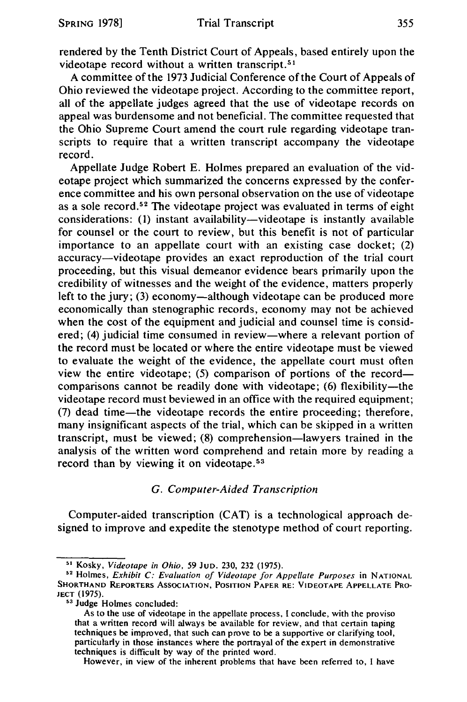rendered by the Tenth District Court of Appeals, based entirely upon the videotape record without a written transcript.<sup>51</sup>

A committee of the 1973 Judicial Conference of the Court of Appeals of Ohio reviewed the videotape project. According to the committee report, all of the appellate judges agreed that the use of videotape records on appeal was burdensome and not beneficial. The committee requested that the Ohio Supreme Court amend the court rule regarding videotape transcripts to require that a written transcript accompany the videotape record.

Appellate Judge Robert E. Holmes prepared an evaluation of the videotape project which summarized the concerns expressed by the conference committee and his own personal observation on the use of videotape as a sole record.<sup>52</sup> The videotape project was evaluated in terms of eight considerations: (1) instant availability-videotape is instantly available for counsel or the court to review, but this benefit is not of particular importance to an appellate court with an existing case docket; (2) accuracy-videotape provides an exact reproduction of the trial court proceeding, but this visual demeanor evidence bears primarily upon the credibility of witnesses and the weight of the evidence, matters properly left to the jury; (3) economy-although videotape can be produced more economically than stenographic records, economy may not be achieved when the cost of the equipment and judicial and counsel time is considered; (4) judicial time consumed in review-where a relevant portion of the record must be located or where the entire videotape must be viewed to evaluate the weight of the evidence, the appellate court must often view the entire videotape; (5) comparison of portions of the recordcomparisons cannot be readily done with videotape; (6) flexibility—the videotape record must beviewed in an office with the required equipment; (7) dead time-the videotape records the entire proceeding; therefore, many insignificant aspects of the trial, which can be skipped in a written transcript, must be viewed; (8) comprehension-lawyers trained in the analysis of the written word comprehend and retain more by reading a record than by viewing it on videotape.<sup>53</sup>

#### G. *Computer-Aided Transcription*

Computer-aided transcription (CAT) is a technological approach designed to improve and expedite the stenotype method of court reporting.

However, in view of the inherent problems that have been referred to, I have

<sup>51</sup> Kosky, *Videotape in Ohio, 59* JuD. 230, 232 (1975). 52 Holmes, *Exhibit C: Evaluation of Videotape for Appellate Purposes* in NATIONAL SHORTHAND REPORTERS ASSOCIATION, POSITION PAPER RE: VIDEOTAPE APPELLATE PRO-JECT (1975).

<sup>53</sup> Judge Holmes concluded:

As to the use of videotape in the appellate process, I conclude, with the proviso that a written record will always be available for review, and that certain taping techniques be improved, that such can prove to be a supportive or clarifying tool, particularly in those instances where the portrayal of the expert in demonstrative techniques is difficult by way of the printed word.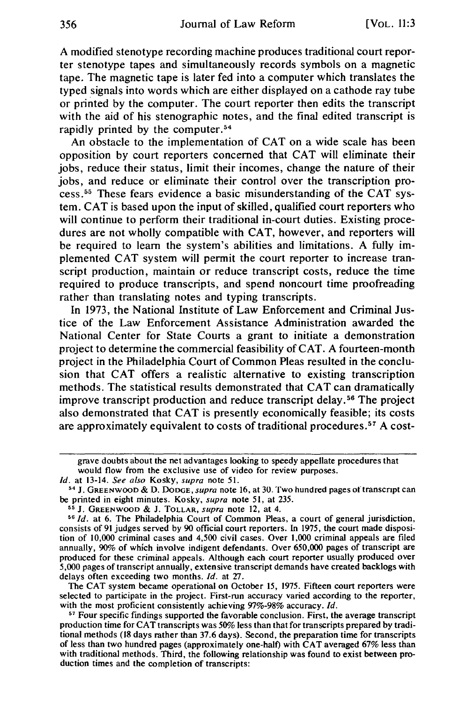A modified stenotype recording machine produces traditional court reporter stenotype tapes and simultaneously records symbols on a magnetic tape. The magnetic tape is later fed into a computer which translates the typed signals into words which are either displayed on a cathode ray tube or printed by the computer. The court reporter then edits the transcript with the aid of his stenographic notes, and the final edited transcript is rapidly printed by the computer.<sup>54</sup>

An obstacle to the implementation of CAT on a wide scale has been opposition by court reporters concerned that CAT will eliminate their jobs, reduce their status, limit their incomes, change the nature of their jobs, and reduce or eliminate their control over the transcription process. 55 These fears evidence a basic misunderstanding of the CAT system. CAT is based upon the input of skilled, qualified court reporters who will continue to perform their traditional in-court duties. Existing procedures are not wholly compatible with CAT, however, and reporters will be required to learn the system's abilities and limitations. A fully implemented CAT system will permit the court reporter to increase transcript production, maintain or reduce transcript costs, reduce the time required to produce transcripts, and spend noncourt time proofreading rather than translating notes and typing transcripts.

In 1973, the National Institute of Law Enforcement and Criminal Justice of the Law Enforcement Assistance Administration awarded the National Center for State Courts a grant to initiate a demonstration project to determine the commercial feasibility of CAT. A fourteen-month project in the Philadelphia Court of Common Pleas resulted in the conclusion that CAT offers a realistic alternative to existing transcription methods. The statistical results demonstrated that CAT can dramatically improve transcript production and reduce transcript delay. 56 The project also demonstrated that CAT is presently economically feasible; its costs are approximately equivalent to costs of traditional procedures. 57 A cost-

grave doubts about the net advantages looking to speedy appellate procedures that would flow from the exclusive use of video for review purposes.

*Id.* at 13-14. *See also* Kosky, *supra* note 51.<br><sup>54</sup> J. GREENWOOD & D. DODGE, *supra* note 16, at 30. Two hundred pages of transcript can<br>be printed in eight minutes. Kosky, *supra* note 51, at 235.

<sup>&</sup>lt;sup>55</sup> J. GREENWOOD & J. TOLLAR, *supra* note 12, at 4.<br><sup>56</sup> *Id.* at 6. The Philadelphia Court of Common Pleas, a court of general jurisdiction, consists of 91 judges served by 90 official court reporters. In 1975, the court made disposition of 10,000 criminal cases and 4,500 civil cases. Over 1,000 criminal appeals are filed annually, 90% of which involve indigent defendants. Over 650,000 pages of transcript are produced for these criminal appeals. Although each court reporter usually produced over 5,000 pages of transcript annually, extensive transcript demands have created backlogs with delays often exceeding two months. *Id.* at 27.

The CAT system became operational on October 15, 1975. Fifteen court reporters were selected to participate in the project. First-run accuracy varied according to the reporter, with the most proficient consistently achieving 97%-98% accuracy. *Id.* 

<sup>&</sup>lt;sup>57</sup> Four specific findings supported the favorable conclusion. First, the average transcript production time for CAT transcripts was 50% less than that for transcripts prepared by traditional methods (18 days rather than 37.6 days). Second, the preparation time for transcripts of less than two hundred pages (approximately one-halt) with CAT averaged 67% less than with traditional methods. Third, the following relationship was found to exist between production times and the completion of transcripts: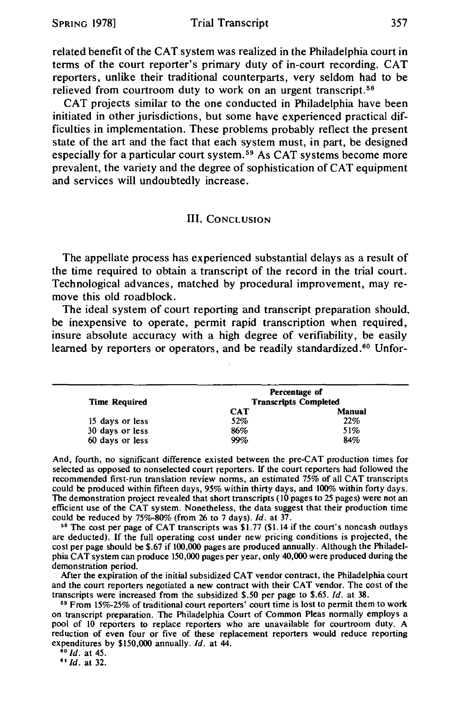related benefit of the CAT system was realized in the Philadelphia court in terms of the court reporter's primary duty of in-court recording. CAT reporters, unlike their traditional counterparts, very seldom had to be relieved from courtroom duty to work on an urgent transcript.<sup>58</sup>

CAT projects similar to the one conducted in Philadelphia have been initiated in other jurisdictions, but some have experienced practical difficulties in implementation. These problems probably reflect the present state of the art and the fact that each system must, in part, be designed especially for a particular court system. 59 As CAT systems become more prevalent, the variety and the degree of sophistication of CAT equipment and services will undoubtedly increase.

#### III. CONCLUSION

The appellate process has experienced substantial delays as a result of the time required to obtain a transcript of the record in the trial court. Technological advances, matched by procedural improvement, may remove this old roadblock.

The ideal system of court reporting and transcript preparation should. be inexpensive to operate, permit rapid transcription when required, insure absolute accuracy with a high degree of verifiability, be easily learned by reporters or operators, and be readily standardized.<sup>60</sup> Unfor-

|                      |                              | Percentage of |  |
|----------------------|------------------------------|---------------|--|
| <b>Time Required</b> | <b>Transcripts Completed</b> |               |  |
|                      | <b>CAT</b>                   | Manual        |  |
| 15 days or less      | 52%                          | 22%           |  |
| 30 days or less      | 86%                          | 51%           |  |
| 60 days or less      | 99%                          | 84%           |  |

And, fourth, no significant difference existed between the pre-CAT production times for selected as opposed to nonselected court reporters. If the court reporters had followed the recommended first-run translation review norms, an estimated 75% of all CAT transcripts could be produced within fifteen days, 95% within thirty days, and 100% within forty days. The demonstration project revealed that short transcripts (10 pages to 25 pages) were not an efficient use of the CAT system. Nonetheless, the data suggest that their production time could be reduced by  $75\%$ -80% (from 26 to 7 days). *Id.* at  $37$ .

<sup>58</sup> The cost per page of CAT transcripts was \$1.77 (\$1.14 if the court's noncash outlays are deducted). If the full operating cost under new pricing conditions is projected, the cost per page should be \$.67 if 100,000 pages are produced annually. Although the Philadelphia CAT system can produce 150,000 pages per year, only 40,000 were produced during the demonstration period.

After the expiration of the initial subsidized CAT vendor contract, the Philadelphia court and the court reporters negotiated a new contract with their CAT vendor. The cost of the transcripts were increased from the subsidized  $$.50$  per page to  $$.65$ . *Id.* at 38.

<sup>59</sup> From 15%-25% of traditional court reporters' court time is lost to permit them to work on transcript preparation. The Philadelphia Court of Common Pleas normally employs a pool of 10 reporters to replace reporters who are unavailable for courtroom duty. A reduction of even four or five of these replacement reporters would reduce reporting expenditures by \$150,000 annually. *Id.* at 44. <sup>60</sup> *Id.* at 45. **61** *Id.* at 32.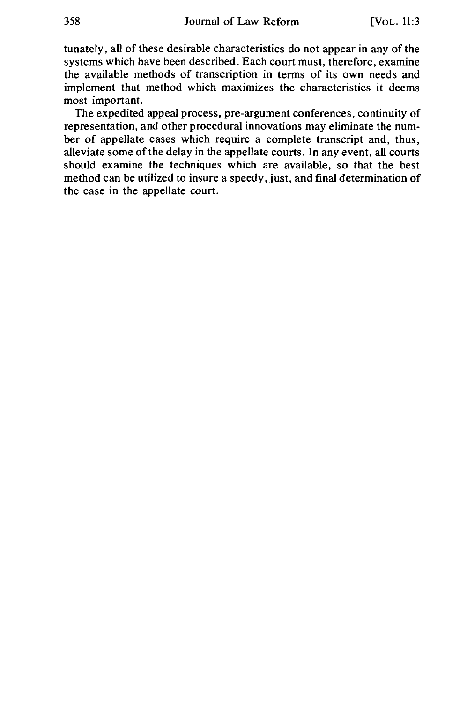tunately, all of these desirable characteristics do not appear in any of the systems which have been described. Each court must, therefore, examine the available methods of transcription in terms of its own needs and implement that method which maximizes the characteristics it deems most important.

The expedited appeal process, pre-argument conferences, continuity of representation, and other procedural innovations may eliminate the number of appellate cases which require a complete transcript and, thus, alleviate some of the delay in the appellate courts. In any event, all courts should examine the techniques which are available, so that the best method can be utilized to insure a speedy, just, and final determination of the case in the appellate court.